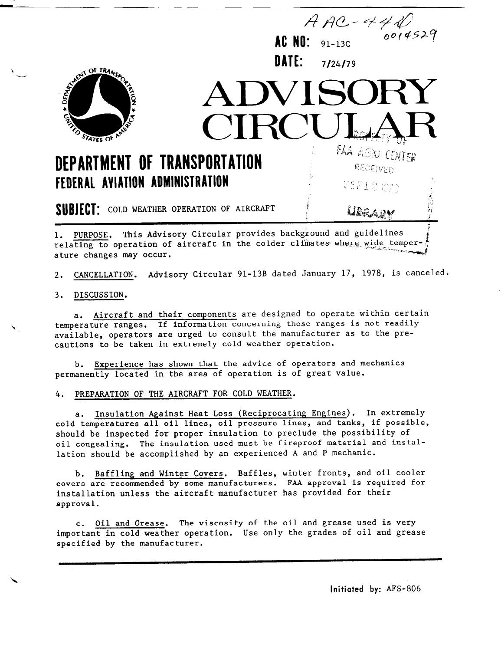

1. PURPOSE. This Advisory Circular provides background and guidelines  $\frac{1}{2}$  relating to operation of aircraft in the colder climates-where wide temper- $\frac{1}{2}$ ature changes may occur.

2. CANCELLATION. Advisory Circular 91-13B dated January 17, 1978, is canceled.

3. DISCUSSION.

a. Aircraft and their components are designed to operate within certain temperature ranges. If information concerning these ranges is not readily available, operators are urged to consult the manufacturer as to the precautions to be taken in extremely cold weather operation.

Experience has shown that the advice of operators and mechanics permanently located in the area of operation is of great value.

4. PREPARATION OF THE AIRCRAFT FOR COLD WEATHER.

a. Insulation Against Heat Loss (Reciprocating Engines). In extremely cold temperatures all oil lines, oil pressure lines, and tanks, if possible, should be inspected for proper insulation to preclude the possibility of oil congealing. The insulation used must be fireproof material and installation should be accomplished by an experienced A and P mechanic.

b. Baffling and Winter Covers. Baffles, winter fronts, and oil cooler p. <u>Bailing and Willet Covers</u>. Failure, Willet approved is required for covers are recommended by some manufacturers. FAA approval is required for installation unless the aircraft manufacturer has provided for their approval.

c. Oil and Grease. The viscosity of the oil and grease used is very  $\frac{1}{100}$  is  $\frac{1}{100}$  in cold weather operation. Use only the grades of  $\frac{1}{100}$  and  $\frac{1}{1000}$  and  $\frac{1}{1000}$  and  $\frac{1}{1000}$ supportant in cord weather.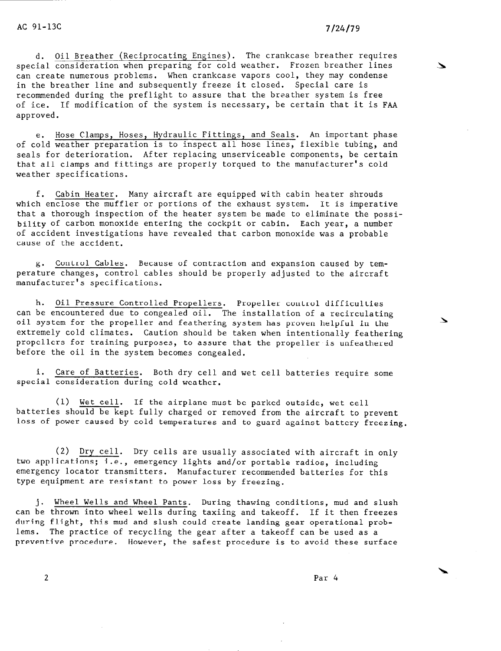$\checkmark$ 

a. Oil Breather (Reciprocating Engines). The crankcase breather requires special consideration when preparing for cold weather. Frozen breather lines can create numerous problems. When crankcase vapors cool, they may condense in the breather line and subsequently freeze it closed. Special care is recommended during the preflight to assure that the breather system is free of ice. If modification of the system is necessary, be certain that it is FAA approved.

e. Hose Clamps, Hoses, Hydraulic Fittings, and Seals. An important phase of cold weather preparation is to inspect all hose lines, flexible tubing, and seals for deterioration. After replacing unserviceable components, be certain that all clamps and fittings are properly torqued to the manufacturer's cold weather specifications.

f. Cabin Heater. Many aircraft are equipped with cabin heater shrouds which enclose the muffler or portions of the exhaust system. It is imperative that a thorough inspection of the heater system be made to eliminate the possibility of carbon monoxide entering the cockpit or cabin. Each year, a number of accident investigations have revealed that carbon monoxide was a probable cause of the accident.

g. Control Cables. Because of contraction and expansion caused by tempera ture changes, control cables should be properly adjusted to the aircraft manufacturer's specifications.

h. Oil Pressure Controlled Propellers. Propeller control difficulties can be encountered due to congealed oil. The installation of a recirculating oil system for the propeller and feathering system has proven helpful in the extremely cold climates. Caution should be taken when intentionally feathering propellers for training purposes, to assure that the propeller is unfeathered before the oil in the system becomes congealed.

i. Care of Batteries. Both dry cell and wet cell batteries require some special consideration during cold weather.

(1) Wet cell. If the airplane must be parked outside, wet cell batteries should be kept fully charged or removed from the aircraft to prevent loss of power caused by cold temperatures and to guard against battery freezing.

(2) Dry cell. Dry cells are usually associated with aircraft in only two applications; i.e., emergency lights and/or portable radios, including emergency locator transmitters. Manufacturer recommended batteries for this type equipment are resistant to power loss by freezing.

j. Wheel Wells and Wheel Pants. During thawing conditions, mud and slush can be thrown into wheel wells during taxiing and takeoff. If it then freezes during flight, this mud and slush could create landing gear operational problems. The practice of recycling the gear after a takeoff can be used as a preventive procedure. However, the safest procedure is to avoid these surface

 $\overline{2}$  Particular  $\overline{2}$  Particular  $\overline{2}$  Particular  $\overline{2}$  Particular  $\overline{2}$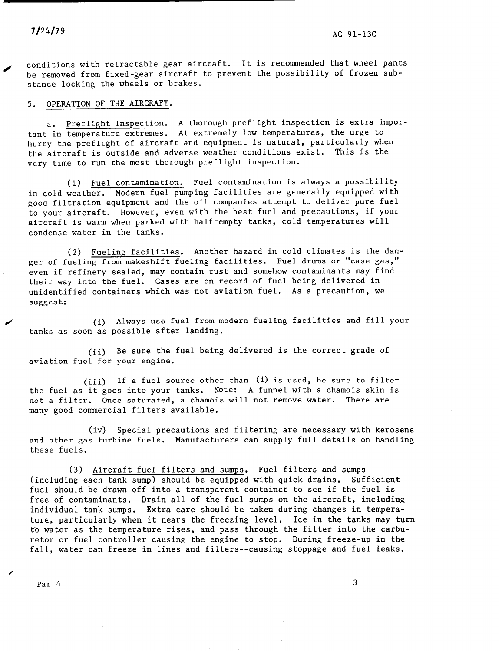conditions with retractable gear aircraft. It is recommended that wheel pants be removed from fixed-gear aircraft to prevent the possibility of frozen substance locking the wheels or brakes.

5. OPERATION OF THE AIRCRAFT.

a. Preflight Inspection. A thorough preflight inspection is extra important in temperature extremes. At extremely low temperatures, the urge to hurry the preflight of aircraft and equipment is natural, particularly when the aircraft is outside and adverse weather conditions exist. This is the very time to run the most thorough preflight inspection.

(1) Fuel contamination. Fuel contamination is always a possibility in cold weather. Modern fuel pumping facilities are generally equipped with good filtration equipment and the oil companies attempt to deliver pure fuel to your aircraft. However, even with the best fuel and precautions, if your aircraft is warm when parked with half-empty tanks, cold temperatures will condense water in the tanks.

(2) Fueling facilities. Another hazard in cold climates is the danger of fueling from makeshift fueling facilities. Fuel drums or "case gas," even if refinery sealed, may contain rust and somehow contaminants may find their way into the fuel. Cases are on record of fuel being delivered in unidentified containers which was not aviation fuel. As a precaution, we suggest:

/ (i) Always use fuel from modern fueling facilities and fill your tanks as soon as possible after landing.

(ii) Be sure the fuel being delivered is the correct grade of aviation fuel for your engine.

(iii) If a fuel source other than (i) is used, be sure to filter the fuel as it goes into your tanks. Note: A funnel with a chamois skin is not a filter. Once saturated, a chamois will not remove water. There are many good commercial filters available.

(iv) Special precautions and filtering are necessary with kerosene and other gas turbine fuels. Manufacturers can supply full details on handling these fuels.

(3) Aircraft fuel filters and sumps. Fuel filters and sumps (including each tank sump) should be equipped with quick drains. Sufficient fuel should be drawn off into a transparent container to see if the fuel is free of contaminants. Drain all of the fuel sumps on the aircraft, including individual tank sumps. Extra care should be taken during changes in temperature, particularly when it nears the freezing level. Ice in the tanks may turn to water as the temperature rises, and pass through the filter into the carburetor or fuel controller causing the engine to stop. During freeze-up in the fall, water can freeze in lines and filters--causing stoppage and fuel leaks.

 $\mathcal{L}$  3  $\mathcal{L}$  3  $\mathcal{L}$  3  $\mathcal{L}$  4  $\mathcal{L}$  3  $\mathcal{L}$  4  $\mathcal{L}$  4  $\mathcal{L}$  4  $\mathcal{L}$  4  $\mathcal{L}$  4  $\mathcal{L}$  4  $\mathcal{L}$  4  $\mathcal{L}$  4  $\mathcal{L}$  4  $\mathcal{L}$  4  $\mathcal{L}$  4  $\mathcal{L}$  4  $\mathcal{L}$  4  $\mathcal{L}$  4  $\mathcal{L}$  4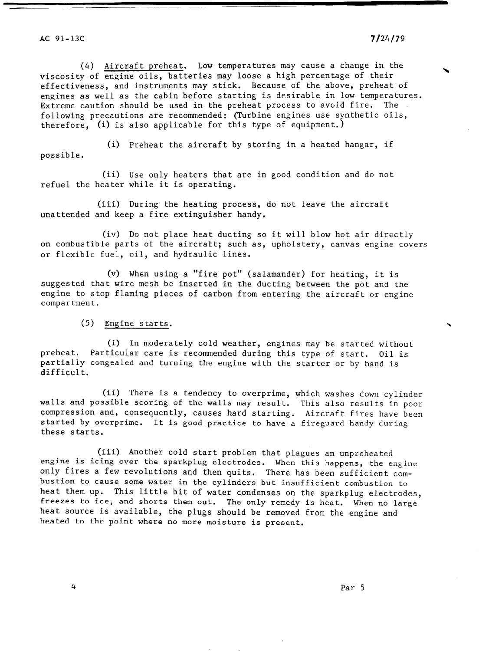(4) Aircraft preheat. Low temperatures may cause a change in the viscosity of engine oils, batteries may loose a high percentage of their effectiveness, and instruments may stick. Because of the above, preheat of engines as well as the cabin before starting is desirable in low temperatures. Extreme caution should be used in the preheat process to avoid fire. The following precautions are recommended: (Turbine engines use synthetic oils, therefore, (i) is also applicable for this type of equipment.)

(i) Preheat the aircraft by storing in a heated hangar, if possible.

(ii) Use only heaters that are in good condition and do not refuel the heater while it is operating.

(iii) During the heating process, do not leave the aircraft unattended and keep a fire extinguisher handy.

(iv) Do not place heat ducting so it will blow hot air directly on combustible parts of the aircraft; such as, upholstery, canvas engine covers or flexible fuel, oil, and hydraulic lines.

(v) When using a "fire pot" (salamander) for heating, it is suggested that wire mesh be inserted in the ducting between the pot and the engine to stop flaming pieces of carbon from entering the aircraft or engine compartment.

(5) Engine starts.

(i) In moderately cold weather, engines may be started without preheat. Particular care is recommended during this type of start. Oil is partially congealed and turning the engine with the starter or by hand is difficult.

(ii) There is a tendency to overprime, which washes down cylinder walls and possible scoring of the walls may result. This also results in poor compression and, consequently, causes hard starting. Aircraft fires have been started by overprime. It is good practice to have a fireguard handy during these starts.

(iii) Another cold start problem that plagues an unpreheated engine is icing over the sparkplug electrodes. When this happens an unpreneurum is  $\overline{\phantom{a}}$  fires a few revolutions and then quits. These has happens, we define bustion to cause some water in the cylinders but insufficient combustion to heat them up. This little bit of water condenses one insurrective compussion to Freezes to ice, and shorts them out. The only remedy is the spatial dependence of the spatial process to ice. heat source is available, the plugs should be removed from the engine and heated to the point where no more moisture is present.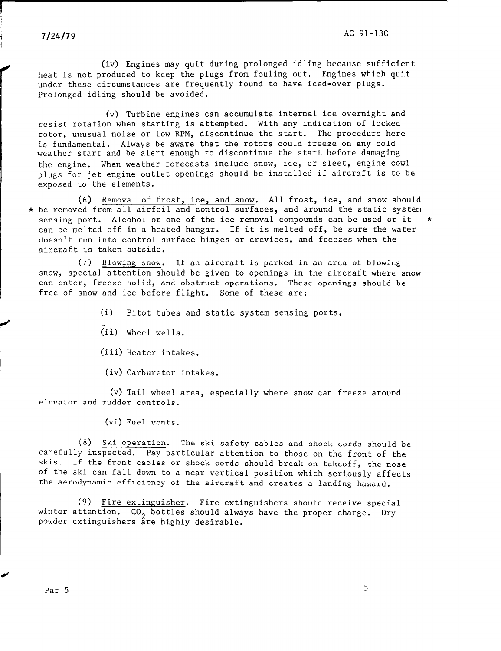(iv) Engines may quit during prolonged idling because sufficient heat is not produced to keep the plugs from fouling out. Engines which quit under these circumstances are frequently found to have iced-over plugs. Prolonged idling should be avoided.

(v) Turbine engines can accumulate internal ice overnight and resist rotation when starting is attempted. With any indication of locked rotor, unusual noise or low RPM, discontinue the start. The procedure here is fundamental. Always be aware that the rotors could freeze on any cold weather start and be alert enough to discontinue the start before damaging the engine. When weather forecasts include snow, ice, or sleet, engine cowl plugs for jet engine outlet openings should be installed if aircraft is to be exposed to the elements.

(6) Removal of frost, ice, and snow. All frost, ice, and snow should \* be removed from all airfoil and control surfaces, and around the static system sensing port. Alcohol or one of the ice removal compounds can be used or it can be melted off in a heated hangar. If it is melted off, be sure the water doesn't run into control surface hinges or crevices, and freezes when the aircraft is taken outside.

(7) Blowing snow. If an aircraft is parked in an area of blowing snow, special attention should be given to openings in the aircraft where snow can enter, freeze solid, and obstruct operations. These openings should be free of snow and ice before flight. Some of these are:

(i) Pitot tubes and static system sensing ports.

(ii) Wheel wells.

(iii) Heater intakes.

(iv) Carburetor intakes.

(v) Tail wheel area, especially where snow can freeze around elevator and rudder controls.

(vi) Fuel vents.

(8) Ski operation. The ski safety cables and shock cords shown in shock cords shown in shock cords shown in shock cords shown in shock cords shown in the shock cords shown in shock cords shown in shock cords shown in the  $\sum_{i=1}^{\infty}$  integration. Pay attention to the set of the front of the front of the front of the front of the front of the front of the front of the front of the front of the front of the front of the front of the front carefully inspected. Pay particular attention to those on the front of the skis. If the front cables or shock cords should break on takeoff, the nose of the ski can fall down to a near vertical position which seriously affects<br>the aerodynamic efficiency of the aircraft and creates a landing hazard.

(9) Fire extinguisher. Fire extinguishers should receive special winter attention.  $CO_2$  bottles should always have the proper charge. Dry powder extinguishers are highly desirable.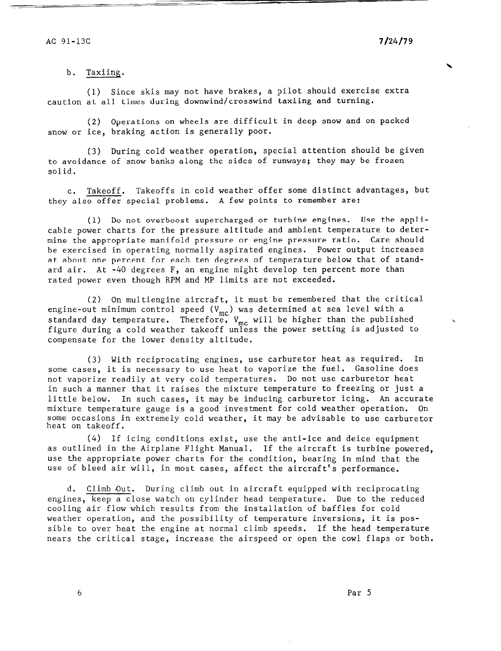#### b. Taxiing.

(1) Since skis may not have brakes, a pilot should exercise extra caution at all times during downwind/crosswind taxiing and turning.

(2) Operations on wheels are difficult in deep snow and on packed snow or ice, braking action is generally poor.

(3) During cold weather operation, special attention should be given to avoidance of snow banks along the sides of runways; they may be frozen solid.

C. Takeoff. Takeoffs in cold weather offer some distinct advantages, but they also offer special problems. A few points to remember are:

(1) Do not overboost supercharged or turbine engines. Use the applicable power charts for the pressure altitude and ambient temperature to determine the appropriate manifold pressure or engine pressure ratio. Care should be exercised in operating normally aspirated engines. Power output increases at about one percent for each ten degrees of temperature below that of standard air. At -40 degrees F, an engine might develop ten percent more than rated power even though RPM and MP limits are not exceeded.

(2) On multiengine aircraft, it must be remembered that the critical engine-out minimum control speed  $(V_{\alpha})$  was determined at sea level with a standard day temperature. Therefore,  $\frac{W}{2}$  will be higher than the publish figure during a cold weather takeoff unless the power setting is adjusted to compensate for the lower density altitude.

(3) With reciprocating engines, use carburetor heat as required. In some cases, it is necessary to use heat to vaporize the fuel. Gasoline does not vaporize readily at very cold temperatures. Do not use carburetor heat in such a manner that it raises the mixture temperature to freezing or just a little below. In such cases, it may be inducing carburetor icing. An accurate mixture temperature gauge is a good investment for cold weather operation. On  $\frac{1}{2}$  some order of  $\frac{1}{2}$  and  $\frac{1}{2}$  and  $\frac{1}{2}$  and  $\frac{1}{2}$  and  $\frac{1}{2}$  and  $\frac{1}{2}$  and  $\frac{1}{2}$  and  $\frac{1}{2}$  and  $\frac{1}{2}$  and  $\frac{1}{2}$  and  $\frac{1}{2}$  and  $\frac{1}{2}$  and  $\frac{1}{2}$  and  $\frac{1}{2}$  and some occasion meno aos cosa newence openación,<br>Italiano ba caribable to use carbo

(4) If icing conditions exist, use the anti-ice and deice equipment  $\alpha$  outlined in the Airplane Flight Manual. If the aircraft is turbine powered, us such the approximation of the condition of the condition of the condition of the condition, the condition of use the appropriate power charts for the condition, bearing in mind that the use of bleed air will, in most cases, affect the aircraft's performance.

d. Climb Out. During climb out in aircraft equipped with reciprocating engines on close watch on contract chapped when recept ocaling completes, week a crose watch on cyrrider head temperature. Bue to the in cooling air flow which results from the installation of baffles for cold weather operation, and the possibility of temperature inversions, it is possible to over heat the engine at normal climb speeds. If the head temperature<br>nears the critical stage, increase the airspeed or open the cowl flaps or both.

6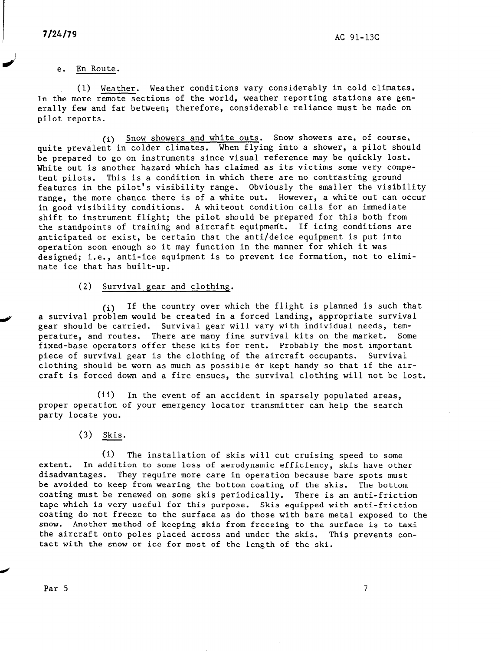#### e. En Route.

(1) Weather. Weather conditions vary considerably in cold climates. In the more remote sections of the world, weather reporting stations are generally few and far between; therefore, considerable reliance must be made on pilot reports.

(i) Snow showers and white outs. Snow showers are, of course, quite prevalent in colder climates. When flying into a shower, a pilot should be prepared to go on instruments since visual reference may be quickly lost. White out is another hazard which has claimed as its victims some very competent pilots. This is a condition in which there are no contrasting ground features in the pilot's visibility range. Obviously the smaller the visibility range, the more chance there is of a white out. However, a white out can occur in good visibility conditions. A whiteout condition calls for an immediate shift to instrument flight; the pilot should be prepared for this both from the standpoints of training and aircraft equipment. If icing conditions are anticipated or exist, be certain that the anti/deice equipment is put into operation soon enough so it may function in the manner for which it was designed; i.e., anti-ice equipment is to prevent ice formation, not to eliminate ice that has built-up.

#### (2) Survival gear and clothing.

(i) If the country over which the flight is planned is such that a survival problem would be created in a forced landing, appropriate survival gear should be carried. Survival gear will vary with individual needs, temperature, and routes. There are many fine survival kits on the market. Some fixed-base operators offer these kits for rent. Probably the most important piece of survival gear is the clothing of the aircraft occupants. Survival clothing should be worn as much as possible or kept handy so that if the aircraft is forced down and a fire ensues, the survival clothing will not be lost.

(ii) In the event of an accident in sparsely populated areas, proper operation of your emergency locator transmitter can help the search party locate you.

## $(3)$  Skis.

(i) The installation of skis will cut cruising speed to some extent. In addition to some loss of aerodynamic efficiency, skis have other disadvantages. They require more care in operation because bare spots must be avoided to keep from wearing the bottom coating of the skis. The bottom coating to keep from wearing the bottom coating of the skis. The bottom that the very useful for the skis performancy. There is an anti-friction of the skip of the skip and with an tape which is very useful for this purpose. Skis equipped with anti-friction coating do not freeze to the surface as do those with bare metal exposed to the snow. Another method of keeping skis from freezing to the surface is to taxi the aircraft onto poles placed across and under the skis. This prevents con-<br>tact with the snow or ice for most of the length of the ski.

 $\overline{7}$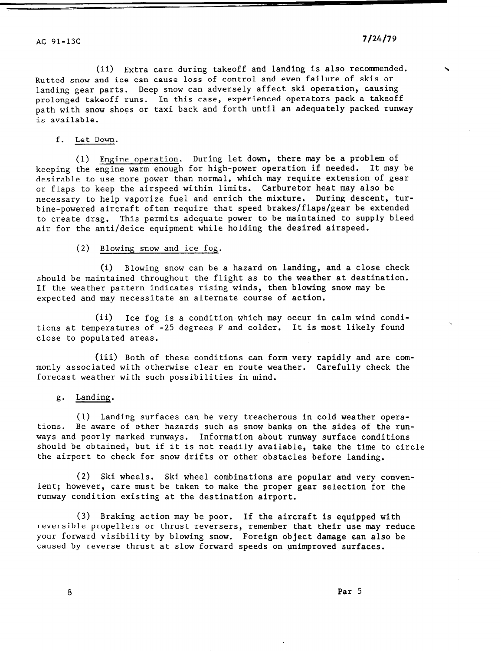(ii) Extra care during takeoff and landing is also recommended. \ Rutted snow and ice can cause loss of control and even failure of skis or landing gear parts. Deep snow can adversely affect ski operation, causing prolonged takeoff runs. In this case, experienced operators pack a takeoff path with snow shoes or taxi back and forth until an adequately packed runway is available.

## f. Let Down.

(1) Engine operation. During let down, there may be a problem of keeping the engine warm enough for high-power operation if needed. It may be desirable to use more power than normal, which may require extension of gear or flaps to keep the airspeed within limits. Carburetor heat may also be necessary to help vaporize fuel and enrich the mixture. During descent, turbine-powered aircraft often require that speed brakes/flaps/gear be extended to create drag. This permits adequate power to be maintained to supply bleed air for the anti/deice equipment while holding the desired airspeed.

## (2) Blowing snow and ice fog.

(i) Blowing snow can be a hazard on landing, and a close check should be maintained throughout the flight as to the weather at destination. If the weather pattern indicates rising winds, then blowing snow may be expected and may necessitate an alternate course of action.

(ii) Ice fog is a condition which may occur in calm wind conditions at temperatures of -25 degrees F and colder. It is most likely found close to populated areas.

(iii) Both of these conditions can form very rapidly and are commonly associated with otherwise clear en route weather. Carefully check the forecast weather with such possibilities in mind.

# g. Landing.

(1) Landing surfaces can be very treacherous in cold weather operations. Be aware of other hazards such as snow banks on the sides of the runways and poorly marked runways. Information about runway surface conditions should be obtained, but if it is not readily available, the time the time to contribute the aircraft forces for some snow drifts or other or other or other or other or other or other or other states

(2) Ski wheels. Ski wheel combinations are popular and very convenient; however, the taken the taken to make the property convenience of the property of the property of the property of the property of the property of the property of the property of the property of the property of the pro runcy nowevery care made be cannot to make the prop

(3)  $\mathbf{p}_{\text{ref}}$  and  $\mathbf{p}_{\text{ref}}$  is equipped with its equipped with is equipped with its equipped with is equipped with  $\mathbf{p}_{\text{ref}}$ reversible properties or the serverse or three interests of the matter that the matter of the server of the servers reversible propellers or thrust reversers, remember that their use may reduce your forward visibility by blowing snow. Foreign object damage can also be caused by reverse thrust at slow forward speeds on unimproved surfaces.